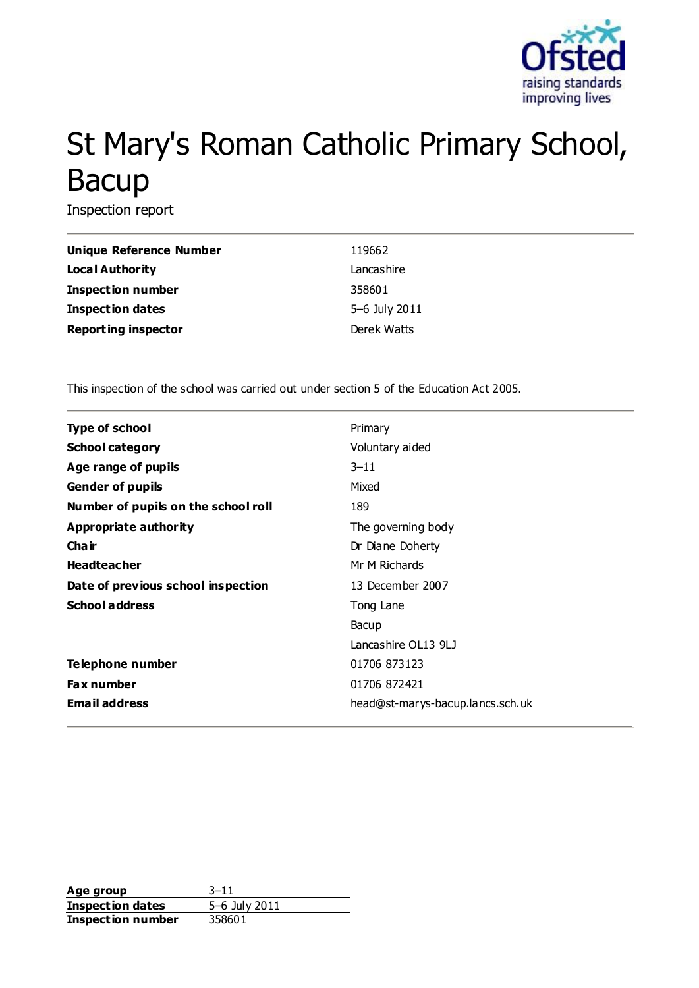

# St Mary's Roman Catholic Primary School, Bacup

Inspection report

| Unique Reference Number    | 119662        |
|----------------------------|---------------|
| Local Authority            | Lancashire    |
| <b>Inspection number</b>   | 358601        |
| <b>Inspection dates</b>    | 5-6 July 2011 |
| <b>Reporting inspector</b> | Derek Watts   |

This inspection of the school was carried out under section 5 of the Education Act 2005.

| <b>Type of school</b>               | Primary                          |
|-------------------------------------|----------------------------------|
| <b>School category</b>              | Voluntary aided                  |
| Age range of pupils                 | $3 - 11$                         |
| <b>Gender of pupils</b>             | Mixed                            |
| Number of pupils on the school roll | 189                              |
| Appropriate authority               | The governing body               |
| Cha ir                              | Dr Diane Doherty                 |
| <b>Headteacher</b>                  | Mr M Richards                    |
| Date of previous school inspection  | 13 December 2007                 |
| <b>School address</b>               | Tong Lane                        |
|                                     | Bacup                            |
|                                     | Lancashire OL13 9LJ              |
| Telephone number                    | 01706 873123                     |
| <b>Fax number</b>                   | 01706 872421                     |
| <b>Email address</b>                | head@st-marys-bacup.lancs.sch.uk |

**Age group** 3–11 **Inspection dates** 5–6 July 2011 **Inspection number** 358601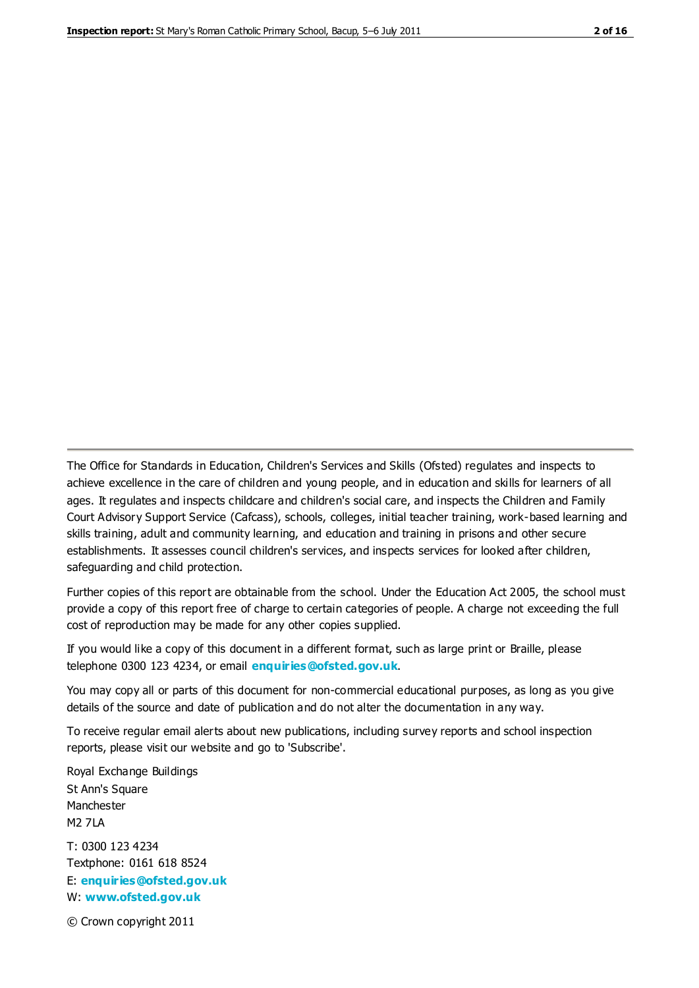The Office for Standards in Education, Children's Services and Skills (Ofsted) regulates and inspects to achieve excellence in the care of children and young people, and in education and skills for learners of all ages. It regulates and inspects childcare and children's social care, and inspects the Children and Family Court Advisory Support Service (Cafcass), schools, colleges, initial teacher training, work-based learning and skills training, adult and community learning, and education and training in prisons and other secure establishments. It assesses council children's services, and inspects services for looked after children, safeguarding and child protection.

Further copies of this report are obtainable from the school. Under the Education Act 2005, the school must provide a copy of this report free of charge to certain categories of people. A charge not exceeding the full cost of reproduction may be made for any other copies supplied.

If you would like a copy of this document in a different format, such as large print or Braille, please telephone 0300 123 4234, or email **[enquiries@ofsted.gov.uk](mailto:enquiries@ofsted.gov.uk)**.

You may copy all or parts of this document for non-commercial educational purposes, as long as you give details of the source and date of publication and do not alter the documentation in any way.

To receive regular email alerts about new publications, including survey reports and school inspection reports, please visit our website and go to 'Subscribe'.

Royal Exchange Buildings St Ann's Square Manchester M2 7LA T: 0300 123 4234 Textphone: 0161 618 8524 E: **[enquiries@ofsted.gov.uk](mailto:enquiries@ofsted.gov.uk)**

W: **[www.ofsted.gov.uk](http://www.ofsted.gov.uk/)**

© Crown copyright 2011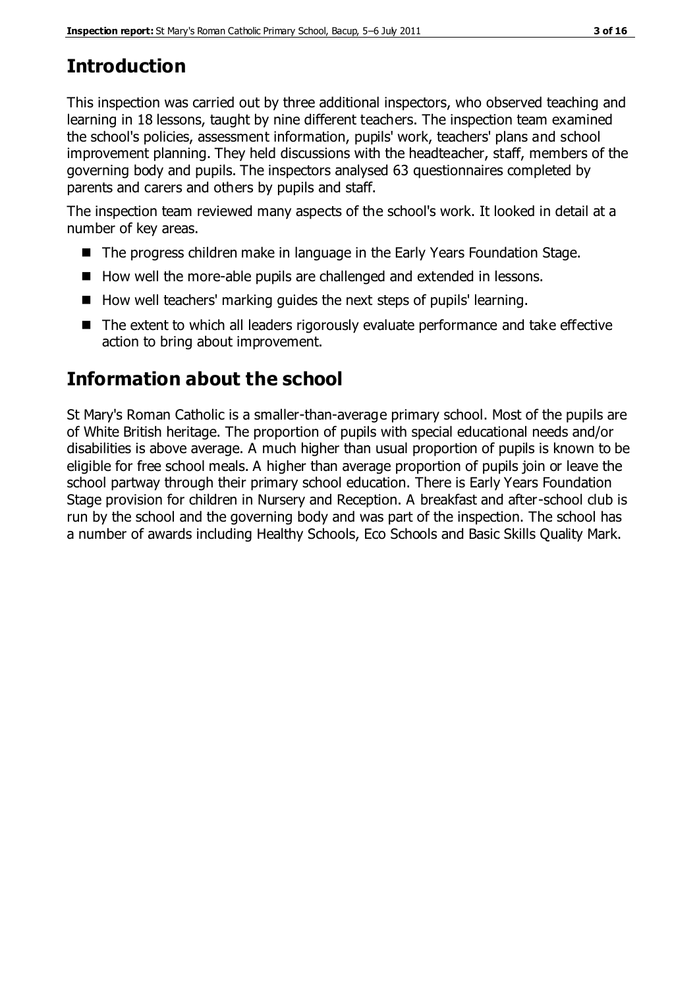# **Introduction**

This inspection was carried out by three additional inspectors, who observed teaching and learning in 18 lessons, taught by nine different teachers. The inspection team examined the school's policies, assessment information, pupils' work, teachers' plans and school improvement planning. They held discussions with the headteacher, staff, members of the governing body and pupils. The inspectors analysed 63 questionnaires completed by parents and carers and others by pupils and staff.

The inspection team reviewed many aspects of the school's work. It looked in detail at a number of key areas.

- The progress children make in language in the Early Years Foundation Stage.
- How well the more-able pupils are challenged and extended in lessons.
- $\blacksquare$  How well teachers' marking guides the next steps of pupils' learning.
- The extent to which all leaders rigorously evaluate performance and take effective action to bring about improvement.

# **Information about the school**

St Mary's Roman Catholic is a smaller-than-average primary school. Most of the pupils are of White British heritage. The proportion of pupils with special educational needs and/or disabilities is above average. A much higher than usual proportion of pupils is known to be eligible for free school meals. A higher than average proportion of pupils join or leave the school partway through their primary school education. There is Early Years Foundation Stage provision for children in Nursery and Reception. A breakfast and after-school club is run by the school and the governing body and was part of the inspection. The school has a number of awards including Healthy Schools, Eco Schools and Basic Skills Quality Mark.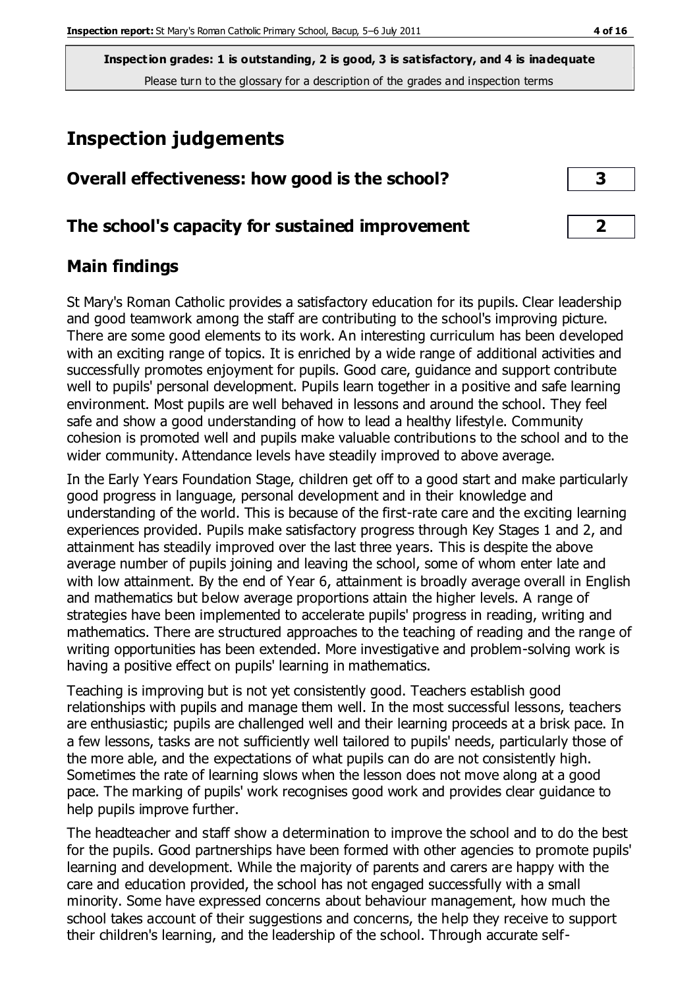# **Inspection judgements**

| Overall effectiveness: how good is the school? |  |  |  |
|------------------------------------------------|--|--|--|
|                                                |  |  |  |

#### **The school's capacity for sustained improvement 2**

## **Main findings**

St Mary's Roman Catholic provides a satisfactory education for its pupils. Clear leadership and good teamwork among the staff are contributing to the school's improving picture. There are some good elements to its work. An interesting curriculum has been developed with an exciting range of topics. It is enriched by a wide range of additional activities and successfully promotes enjoyment for pupils. Good care, guidance and support contribute well to pupils' personal development. Pupils learn together in a positive and safe learning environment. Most pupils are well behaved in lessons and around the school. They feel safe and show a good understanding of how to lead a healthy lifestyle. Community cohesion is promoted well and pupils make valuable contributions to the school and to the wider community. Attendance levels have steadily improved to above average.

In the Early Years Foundation Stage, children get off to a good start and make particularly good progress in language, personal development and in their knowledge and understanding of the world. This is because of the first-rate care and the exciting learning experiences provided. Pupils make satisfactory progress through Key Stages 1 and 2, and attainment has steadily improved over the last three years. This is despite the above average number of pupils joining and leaving the school, some of whom enter late and with low attainment. By the end of Year 6, attainment is broadly average overall in English and mathematics but below average proportions attain the higher levels. A range of strategies have been implemented to accelerate pupils' progress in reading, writing and mathematics. There are structured approaches to the teaching of reading and the range of writing opportunities has been extended. More investigative and problem-solving work is having a positive effect on pupils' learning in mathematics.

Teaching is improving but is not yet consistently good. Teachers establish good relationships with pupils and manage them well. In the most successful lessons, teachers are enthusiastic; pupils are challenged well and their learning proceeds at a brisk pace. In a few lessons, tasks are not sufficiently well tailored to pupils' needs, particularly those of the more able, and the expectations of what pupils can do are not consistently high. Sometimes the rate of learning slows when the lesson does not move along at a good pace. The marking of pupils' work recognises good work and provides clear guidance to help pupils improve further.

The headteacher and staff show a determination to improve the school and to do the best for the pupils. Good partnerships have been formed with other agencies to promote pupils' learning and development. While the majority of parents and carers are happy with the care and education provided, the school has not engaged successfully with a small minority. Some have expressed concerns about behaviour management, how much the school takes account of their suggestions and concerns, the help they receive to support their children's learning, and the leadership of the school. Through accurate self-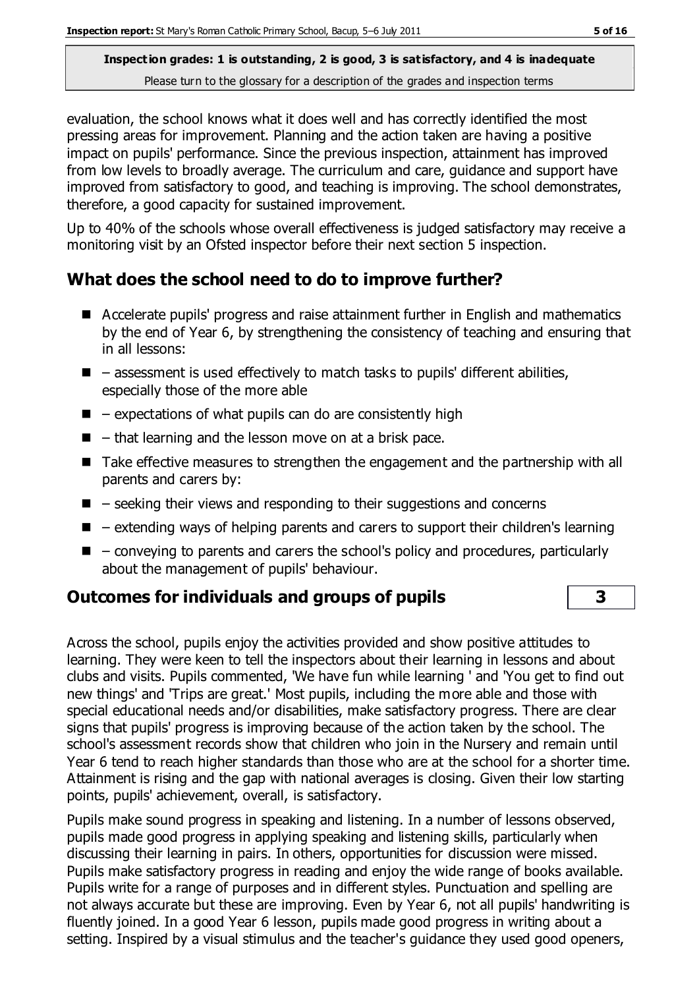evaluation, the school knows what it does well and has correctly identified the most pressing areas for improvement. Planning and the action taken are having a positive impact on pupils' performance. Since the previous inspection, attainment has improved from low levels to broadly average. The curriculum and care, guidance and support have improved from satisfactory to good, and teaching is improving. The school demonstrates, therefore, a good capacity for sustained improvement.

Up to 40% of the schools whose overall effectiveness is judged satisfactory may receive a monitoring visit by an Ofsted inspector before their next section 5 inspection.

## **What does the school need to do to improve further?**

- Accelerate pupils' progress and raise attainment further in English and mathematics by the end of Year 6, by strengthening the consistency of teaching and ensuring that in all lessons:
- $\blacksquare$  assessment is used effectively to match tasks to pupils' different abilities, especially those of the more able
- $\blacksquare$  expectations of what pupils can do are consistently high
- $\blacksquare$  that learning and the lesson move on at a brisk pace.
- Take effective measures to strengthen the engagement and the partnership with all parents and carers by:
- $\blacksquare$  seeking their views and responding to their suggestions and concerns
- $\blacksquare$  extending ways of helping parents and carers to support their children's learning
- $\blacksquare$  conveying to parents and carers the school's policy and procedures, particularly about the management of pupils' behaviour.

## **Outcomes for individuals and groups of pupils 3**

Across the school, pupils enjoy the activities provided and show positive attitudes to learning. They were keen to tell the inspectors about their learning in lessons and about clubs and visits. Pupils commented, 'We have fun while learning ' and 'You get to find out new things' and 'Trips are great.' Most pupils, including the more able and those with special educational needs and/or disabilities, make satisfactory progress. There are clear signs that pupils' progress is improving because of the action taken by the school. The school's assessment records show that children who join in the Nursery and remain until Year 6 tend to reach higher standards than those who are at the school for a shorter time. Attainment is rising and the gap with national averages is closing. Given their low starting points, pupils' achievement, overall, is satisfactory.

Pupils make sound progress in speaking and listening. In a number of lessons observed, pupils made good progress in applying speaking and listening skills, particularly when discussing their learning in pairs. In others, opportunities for discussion were missed. Pupils make satisfactory progress in reading and enjoy the wide range of books available. Pupils write for a range of purposes and in different styles. Punctuation and spelling are not always accurate but these are improving. Even by Year 6, not all pupils' handwriting is fluently joined. In a good Year 6 lesson, pupils made good progress in writing about a setting. Inspired by a visual stimulus and the teacher's guidance they used good openers,

$$
\mathbf{3}^{\prime}
$$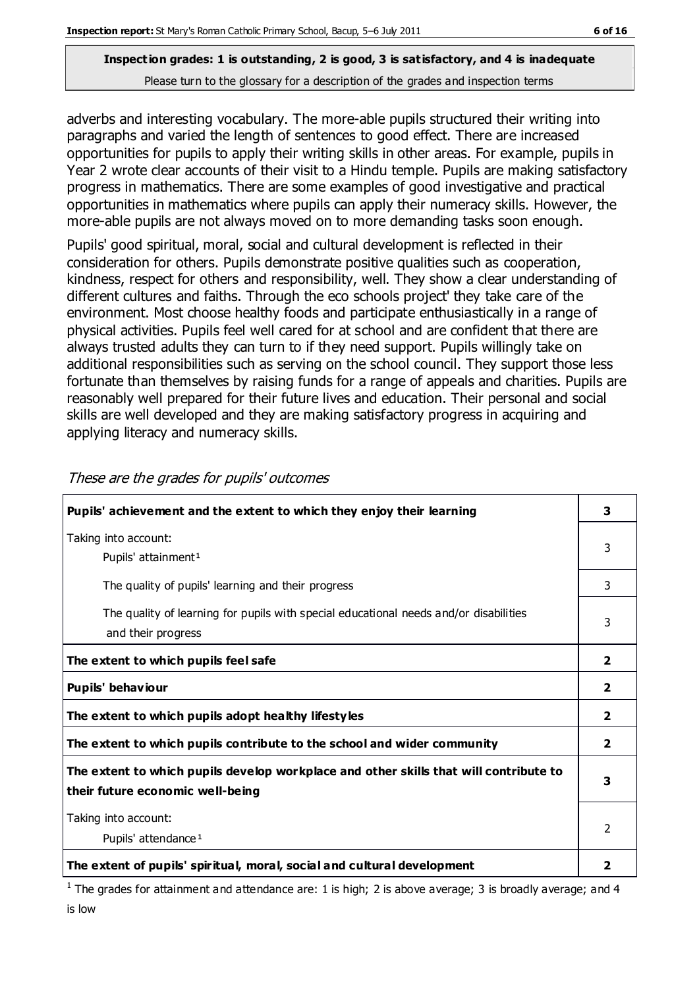adverbs and interesting vocabulary. The more-able pupils structured their writing into paragraphs and varied the length of sentences to good effect. There are increased opportunities for pupils to apply their writing skills in other areas. For example, pupils in Year 2 wrote clear accounts of their visit to a Hindu temple. Pupils are making satisfactory progress in mathematics. There are some examples of good investigative and practical opportunities in mathematics where pupils can apply their numeracy skills. However, the more-able pupils are not always moved on to more demanding tasks soon enough.

Pupils' good spiritual, moral, social and cultural development is reflected in their consideration for others. Pupils demonstrate positive qualities such as cooperation, kindness, respect for others and responsibility, well. They show a clear understanding of different cultures and faiths. Through the eco schools project' they take care of the environment. Most choose healthy foods and participate enthusiastically in a range of physical activities. Pupils feel well cared for at school and are confident that there are always trusted adults they can turn to if they need support. Pupils willingly take on additional responsibilities such as serving on the school council. They support those less fortunate than themselves by raising funds for a range of appeals and charities. Pupils are reasonably well prepared for their future lives and education. Their personal and social skills are well developed and they are making satisfactory progress in acquiring and applying literacy and numeracy skills.

| Pupils' achievement and the extent to which they enjoy their learning                                                     | 3              |
|---------------------------------------------------------------------------------------------------------------------------|----------------|
| Taking into account:<br>Pupils' attainment <sup>1</sup>                                                                   | 3              |
| The quality of pupils' learning and their progress                                                                        | 3              |
| The quality of learning for pupils with special educational needs and/or disabilities<br>and their progress               | 3              |
| The extent to which pupils feel safe                                                                                      | $\overline{2}$ |
| Pupils' behaviour                                                                                                         | $\mathbf{2}$   |
| The extent to which pupils adopt healthy lifestyles                                                                       | 2              |
| The extent to which pupils contribute to the school and wider community                                                   | 2              |
| The extent to which pupils develop workplace and other skills that will contribute to<br>their future economic well-being | 3              |
| Taking into account:<br>Pupils' attendance <sup>1</sup>                                                                   | 2              |
| The extent of pupils' spiritual, moral, social and cultural development                                                   | 2              |

These are the grades for pupils' outcomes

<sup>1</sup> The grades for attainment and attendance are: 1 is high; 2 is above average; 3 is broadly average; and 4 is low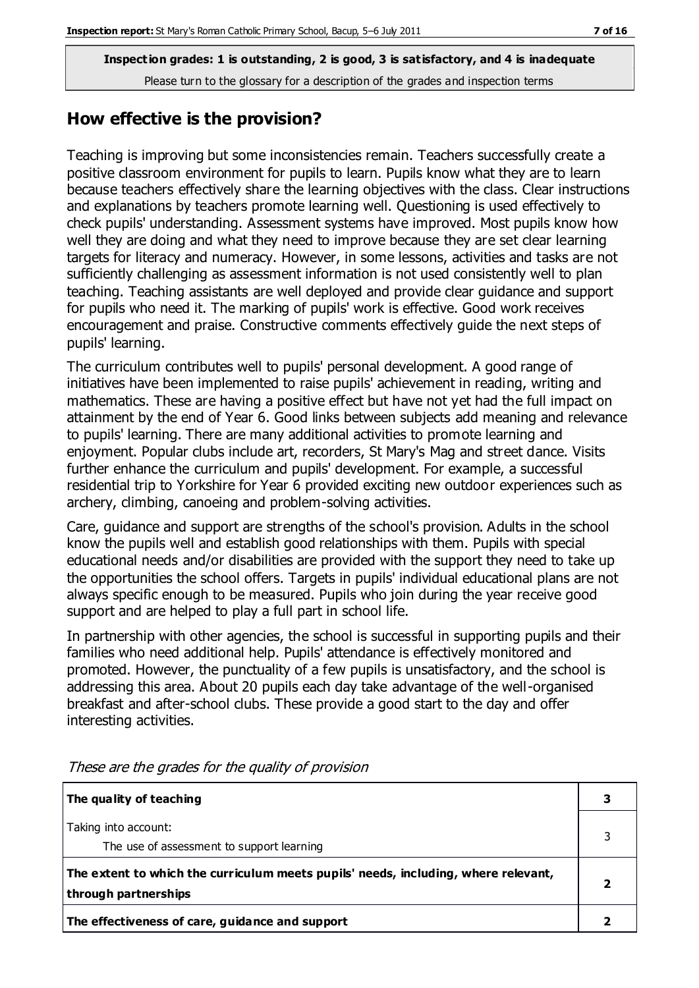#### **How effective is the provision?**

Teaching is improving but some inconsistencies remain. Teachers successfully create a positive classroom environment for pupils to learn. Pupils know what they are to learn because teachers effectively share the learning objectives with the class. Clear instructions and explanations by teachers promote learning well. Questioning is used effectively to check pupils' understanding. Assessment systems have improved. Most pupils know how well they are doing and what they need to improve because they are set clear learning targets for literacy and numeracy. However, in some lessons, activities and tasks are not sufficiently challenging as assessment information is not used consistently well to plan teaching. Teaching assistants are well deployed and provide clear guidance and support for pupils who need it. The marking of pupils' work is effective. Good work receives encouragement and praise. Constructive comments effectively guide the next steps of pupils' learning.

The curriculum contributes well to pupils' personal development. A good range of initiatives have been implemented to raise pupils' achievement in reading, writing and mathematics. These are having a positive effect but have not yet had the full impact on attainment by the end of Year 6. Good links between subjects add meaning and relevance to pupils' learning. There are many additional activities to promote learning and enjoyment. Popular clubs include art, recorders, St Mary's Mag and street dance. Visits further enhance the curriculum and pupils' development. For example, a successful residential trip to Yorkshire for Year 6 provided exciting new outdoor experiences such as archery, climbing, canoeing and problem-solving activities.

Care, guidance and support are strengths of the school's provision. Adults in the school know the pupils well and establish good relationships with them. Pupils with special educational needs and/or disabilities are provided with the support they need to take up the opportunities the school offers. Targets in pupils' individual educational plans are not always specific enough to be measured. Pupils who join during the year receive good support and are helped to play a full part in school life.

In partnership with other agencies, the school is successful in supporting pupils and their families who need additional help. Pupils' attendance is effectively monitored and promoted. However, the punctuality of a few pupils is unsatisfactory, and the school is addressing this area. About 20 pupils each day take advantage of the well-organised breakfast and after-school clubs. These provide a good start to the day and offer interesting activities.

| The quality of teaching                                                                                    |  |
|------------------------------------------------------------------------------------------------------------|--|
| Taking into account:<br>The use of assessment to support learning                                          |  |
| The extent to which the curriculum meets pupils' needs, including, where relevant,<br>through partnerships |  |
| The effectiveness of care, guidance and support                                                            |  |

These are the grades for the quality of provision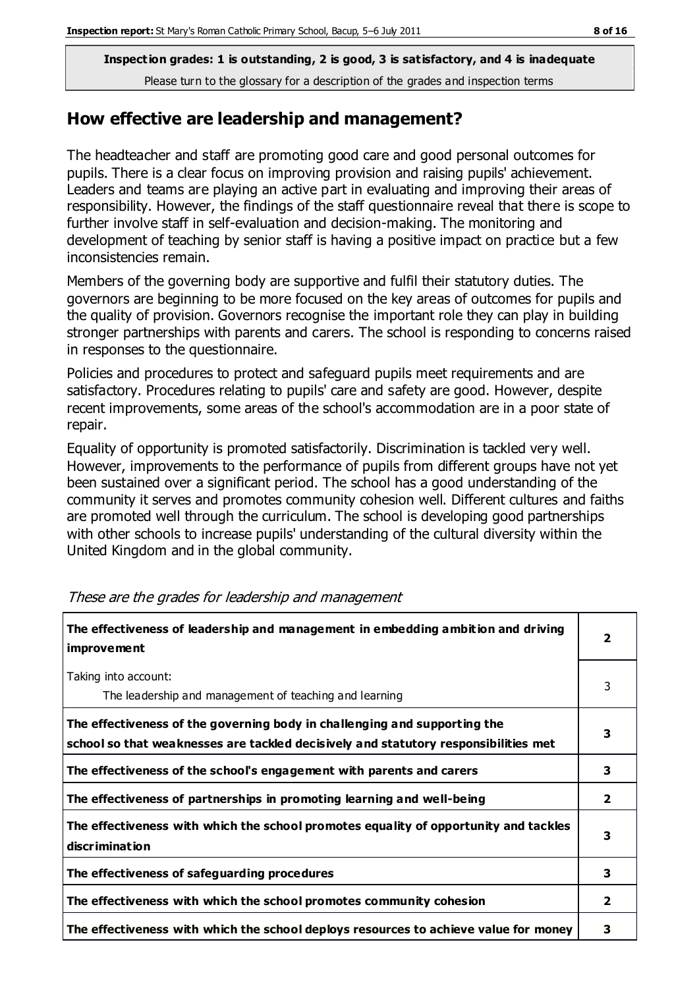#### **How effective are leadership and management?**

The headteacher and staff are promoting good care and good personal outcomes for pupils. There is a clear focus on improving provision and raising pupils' achievement. Leaders and teams are playing an active part in evaluating and improving their areas of responsibility. However, the findings of the staff questionnaire reveal that there is scope to further involve staff in self-evaluation and decision-making. The monitoring and development of teaching by senior staff is having a positive impact on practice but a few inconsistencies remain.

Members of the governing body are supportive and fulfil their statutory duties. The governors are beginning to be more focused on the key areas of outcomes for pupils and the quality of provision. Governors recognise the important role they can play in building stronger partnerships with parents and carers. The school is responding to concerns raised in responses to the questionnaire.

Policies and procedures to protect and safeguard pupils meet requirements and are satisfactory. Procedures relating to pupils' care and safety are good. However, despite recent improvements, some areas of the school's accommodation are in a poor state of repair.

Equality of opportunity is promoted satisfactorily. Discrimination is tackled very well. However, improvements to the performance of pupils from different groups have not yet been sustained over a significant period. The school has a good understanding of the community it serves and promotes community cohesion well. Different cultures and faiths are promoted well through the curriculum. The school is developing good partnerships with other schools to increase pupils' understanding of the cultural diversity within the United Kingdom and in the global community.

| The effectiveness of leadership and management in embedding ambition and driving<br>improvement                                                                  | $\overline{2}$ |
|------------------------------------------------------------------------------------------------------------------------------------------------------------------|----------------|
| Taking into account:<br>The leadership and management of teaching and learning                                                                                   | 3              |
| The effectiveness of the governing body in challenging and supporting the<br>school so that weaknesses are tackled decisively and statutory responsibilities met | 3              |
| The effectiveness of the school's engagement with parents and carers                                                                                             | 3              |
| The effectiveness of partnerships in promoting learning and well-being                                                                                           | $\overline{2}$ |
| The effectiveness with which the school promotes equality of opportunity and tackles<br>discrimination                                                           | 3              |
| The effectiveness of safeguarding procedures                                                                                                                     | 3              |
| The effectiveness with which the school promotes community cohesion                                                                                              | $\overline{2}$ |
| The effectiveness with which the school deploys resources to achieve value for money                                                                             | 3              |

#### These are the grades for leadership and management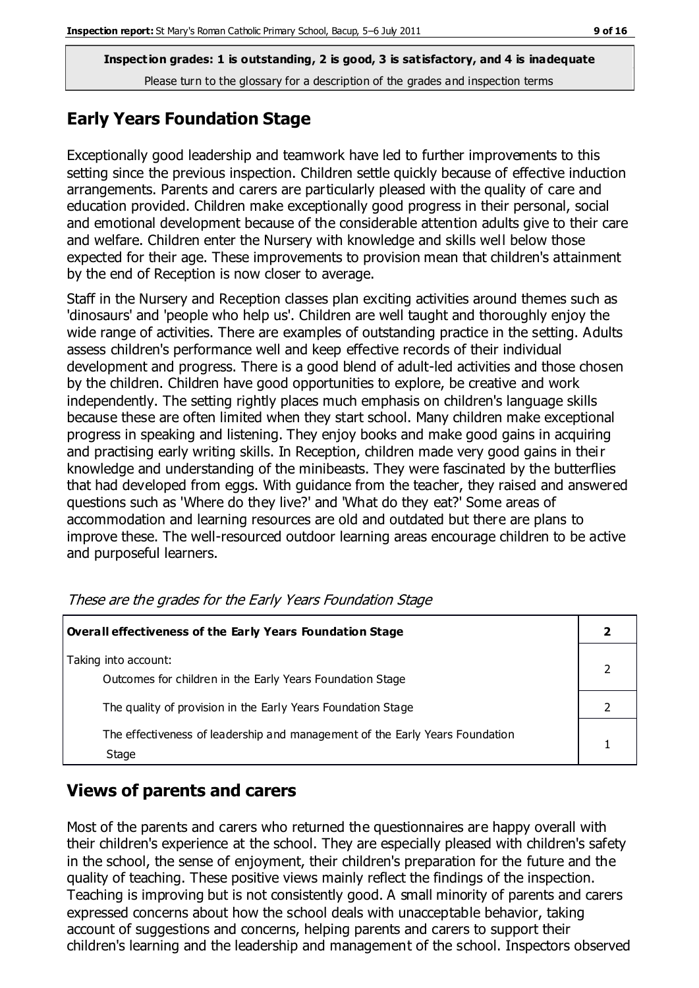#### **Early Years Foundation Stage**

Exceptionally good leadership and teamwork have led to further improvements to this setting since the previous inspection. Children settle quickly because of effective induction arrangements. Parents and carers are particularly pleased with the quality of care and education provided. Children make exceptionally good progress in their personal, social and emotional development because of the considerable attention adults give to their care and welfare. Children enter the Nursery with knowledge and skills well below those expected for their age. These improvements to provision mean that children's attainment by the end of Reception is now closer to average.

Staff in the Nursery and Reception classes plan exciting activities around themes such as 'dinosaurs' and 'people who help us'. Children are well taught and thoroughly enjoy the wide range of activities. There are examples of outstanding practice in the setting. Adults assess children's performance well and keep effective records of their individual development and progress. There is a good blend of adult-led activities and those chosen by the children. Children have good opportunities to explore, be creative and work independently. The setting rightly places much emphasis on children's language skills because these are often limited when they start school. Many children make exceptional progress in speaking and listening. They enjoy books and make good gains in acquiring and practising early writing skills. In Reception, children made very good gains in their knowledge and understanding of the minibeasts. They were fascinated by the butterflies that had developed from eggs. With guidance from the teacher, they raised and answered questions such as 'Where do they live?' and 'What do they eat?' Some areas of accommodation and learning resources are old and outdated but there are plans to improve these. The well-resourced outdoor learning areas encourage children to be active and purposeful learners.

| <b>Overall effectiveness of the Early Years Foundation Stage</b>                      |  |  |
|---------------------------------------------------------------------------------------|--|--|
| Taking into account:<br>Outcomes for children in the Early Years Foundation Stage     |  |  |
| The quality of provision in the Early Years Foundation Stage                          |  |  |
| The effectiveness of leadership and management of the Early Years Foundation<br>Stage |  |  |

These are the grades for the Early Years Foundation Stage

#### **Views of parents and carers**

Most of the parents and carers who returned the questionnaires are happy overall with their children's experience at the school. They are especially pleased with children's safety in the school, the sense of enjoyment, their children's preparation for the future and the quality of teaching. These positive views mainly reflect the findings of the inspection. Teaching is improving but is not consistently good. A small minority of parents and carers expressed concerns about how the school deals with unacceptable behavior, taking account of suggestions and concerns, helping parents and carers to support their children's learning and the leadership and management of the school. Inspectors observed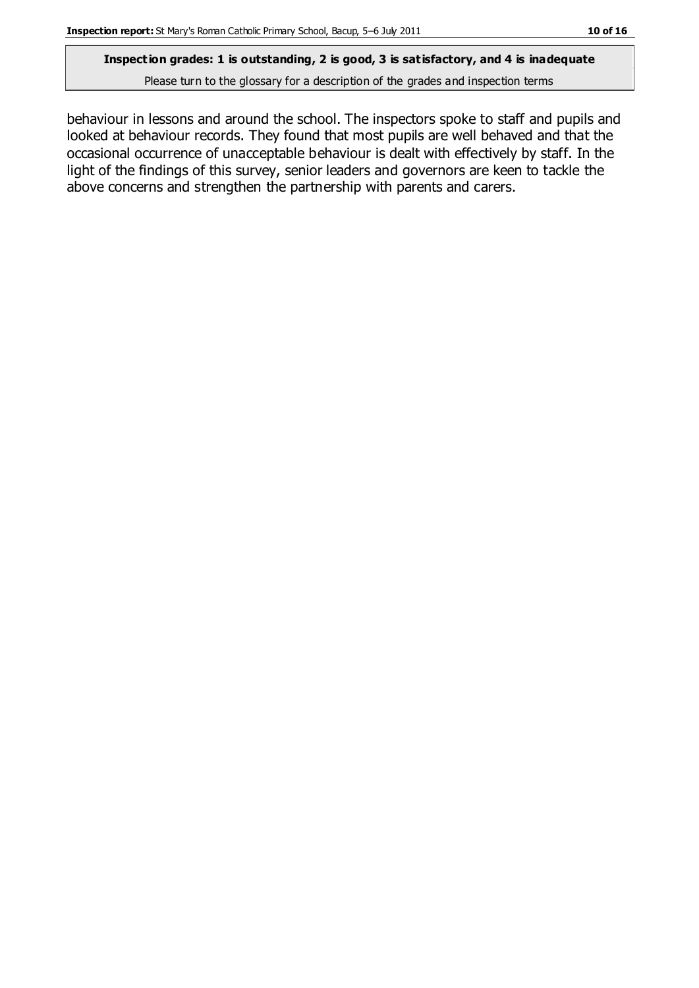## **Inspection grades: 1 is outstanding, 2 is good, 3 is satisfactory, and 4 is inadequate**

Please turn to the glossary for a description of the grades and inspection terms

behaviour in lessons and around the school. The inspectors spoke to staff and pupils and looked at behaviour records. They found that most pupils are well behaved and that the occasional occurrence of unacceptable behaviour is dealt with effectively by staff. In the light of the findings of this survey, senior leaders and governors are keen to tackle the above concerns and strengthen the partnership with parents and carers.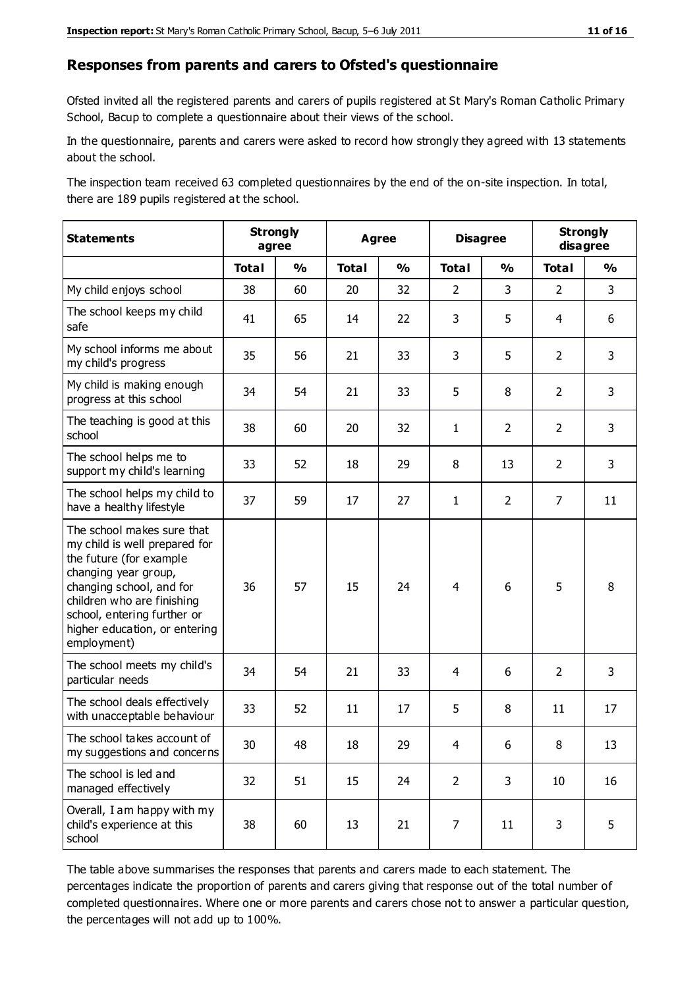#### **Responses from parents and carers to Ofsted's questionnaire**

Ofsted invited all the registered parents and carers of pupils registered at St Mary's Roman Catholic Primary School, Bacup to complete a questionnaire about their views of the school.

In the questionnaire, parents and carers were asked to record how strongly they agreed with 13 statements about the school.

The inspection team received 63 completed questionnaires by the end of the on-site inspection. In total, there are 189 pupils registered at the school.

| <b>Statements</b>                                                                                                                                                                                                                                       | <b>Strongly</b><br>agree |               | <b>Agree</b> |               | <b>Disagree</b> |                | <b>Strongly</b><br>disagree |                |
|---------------------------------------------------------------------------------------------------------------------------------------------------------------------------------------------------------------------------------------------------------|--------------------------|---------------|--------------|---------------|-----------------|----------------|-----------------------------|----------------|
|                                                                                                                                                                                                                                                         | <b>Total</b>             | $\frac{1}{2}$ | <b>Total</b> | $\frac{1}{2}$ | <b>Total</b>    | $\frac{0}{0}$  | <b>Total</b>                | $\frac{1}{2}$  |
| My child enjoys school                                                                                                                                                                                                                                  | 38                       | 60            | 20           | 32            | $\overline{2}$  | 3              | $\overline{2}$              | $\overline{3}$ |
| The school keeps my child<br>safe                                                                                                                                                                                                                       | 41                       | 65            | 14           | 22            | 3               | 5              | 4                           | 6              |
| My school informs me about<br>my child's progress                                                                                                                                                                                                       | 35                       | 56            | 21           | 33            | 3               | 5              | $\overline{2}$              | 3              |
| My child is making enough<br>progress at this school                                                                                                                                                                                                    | 34                       | 54            | 21           | 33            | 5               | 8              | $\overline{2}$              | 3              |
| The teaching is good at this<br>school                                                                                                                                                                                                                  | 38                       | 60            | 20           | 32            | $\mathbf{1}$    | $\overline{2}$ | $\overline{2}$              | 3              |
| The school helps me to<br>support my child's learning                                                                                                                                                                                                   | 33                       | 52            | 18           | 29            | 8               | 13             | $\overline{2}$              | 3              |
| The school helps my child to<br>have a healthy lifestyle                                                                                                                                                                                                | 37                       | 59            | 17           | 27            | 1               | $\overline{2}$ | 7                           | 11             |
| The school makes sure that<br>my child is well prepared for<br>the future (for example<br>changing year group,<br>changing school, and for<br>children who are finishing<br>school, entering further or<br>higher education, or entering<br>employment) | 36                       | 57            | 15           | 24            | $\overline{4}$  | 6              | 5                           | 8              |
| The school meets my child's<br>particular needs                                                                                                                                                                                                         | 34                       | 54            | 21           | 33            | 4               | 6              | 2                           | 3              |
| The school deals effectively<br>with unacceptable behaviour                                                                                                                                                                                             | 33                       | 52            | 11           | 17            | 5               | 8              | 11                          | 17             |
| The school takes account of<br>my suggestions and concerns                                                                                                                                                                                              | 30                       | 48            | 18           | 29            | 4               | 6              | 8                           | 13             |
| The school is led and<br>managed effectively                                                                                                                                                                                                            | 32                       | 51            | 15           | 24            | $\overline{2}$  | 3              | 10                          | 16             |
| Overall, I am happy with my<br>child's experience at this<br>school                                                                                                                                                                                     | 38                       | 60            | 13           | 21            | $\overline{7}$  | 11             | 3                           | 5              |

The table above summarises the responses that parents and carers made to each statement. The percentages indicate the proportion of parents and carers giving that response out of the total number of completed questionnaires. Where one or more parents and carers chose not to answer a particular question, the percentages will not add up to 100%.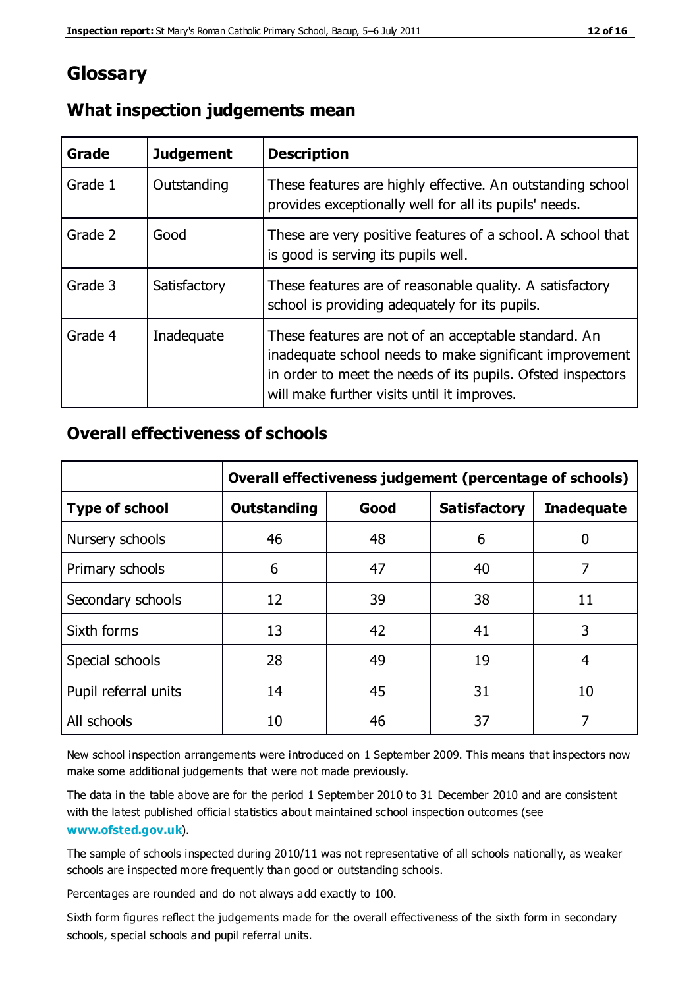## **Glossary**

| Grade   | <b>Judgement</b> | <b>Description</b>                                                                                                                                                                                                            |
|---------|------------------|-------------------------------------------------------------------------------------------------------------------------------------------------------------------------------------------------------------------------------|
| Grade 1 | Outstanding      | These features are highly effective. An outstanding school<br>provides exceptionally well for all its pupils' needs.                                                                                                          |
| Grade 2 | Good             | These are very positive features of a school. A school that<br>is good is serving its pupils well.                                                                                                                            |
| Grade 3 | Satisfactory     | These features are of reasonable quality. A satisfactory<br>school is providing adequately for its pupils.                                                                                                                    |
| Grade 4 | Inadequate       | These features are not of an acceptable standard. An<br>inadequate school needs to make significant improvement<br>in order to meet the needs of its pupils. Ofsted inspectors<br>will make further visits until it improves. |

#### **What inspection judgements mean**

## **Overall effectiveness of schools**

|                       | Overall effectiveness judgement (percentage of schools) |    |                     |                   |  |
|-----------------------|---------------------------------------------------------|----|---------------------|-------------------|--|
| <b>Type of school</b> | Good<br><b>Outstanding</b>                              |    | <b>Satisfactory</b> | <b>Inadequate</b> |  |
| Nursery schools       | 46                                                      | 48 | 6                   |                   |  |
| Primary schools       | 6                                                       | 47 | 40                  | 7                 |  |
| Secondary schools     | 12                                                      | 39 | 38                  | 11                |  |
| Sixth forms           | 13                                                      | 42 | 41                  | 3                 |  |
| Special schools       | 28                                                      | 49 | 19                  | 4                 |  |
| Pupil referral units  | 14                                                      | 45 | 31                  | 10                |  |
| All schools           | 10                                                      | 46 | 37                  |                   |  |

New school inspection arrangements were introduced on 1 September 2009. This means that inspectors now make some additional judgements that were not made previously.

The data in the table above are for the period 1 September 2010 to 31 December 2010 and are consistent with the latest published official statistics about maintained school inspection outcomes (see **[www.ofsted.gov.uk](http://www.ofsted.gov.uk/)**).

The sample of schools inspected during 2010/11 was not representative of all schools nationally, as weaker schools are inspected more frequently than good or outstanding schools.

Percentages are rounded and do not always add exactly to 100.

Sixth form figures reflect the judgements made for the overall effectiveness of the sixth form in secondary schools, special schools and pupil referral units.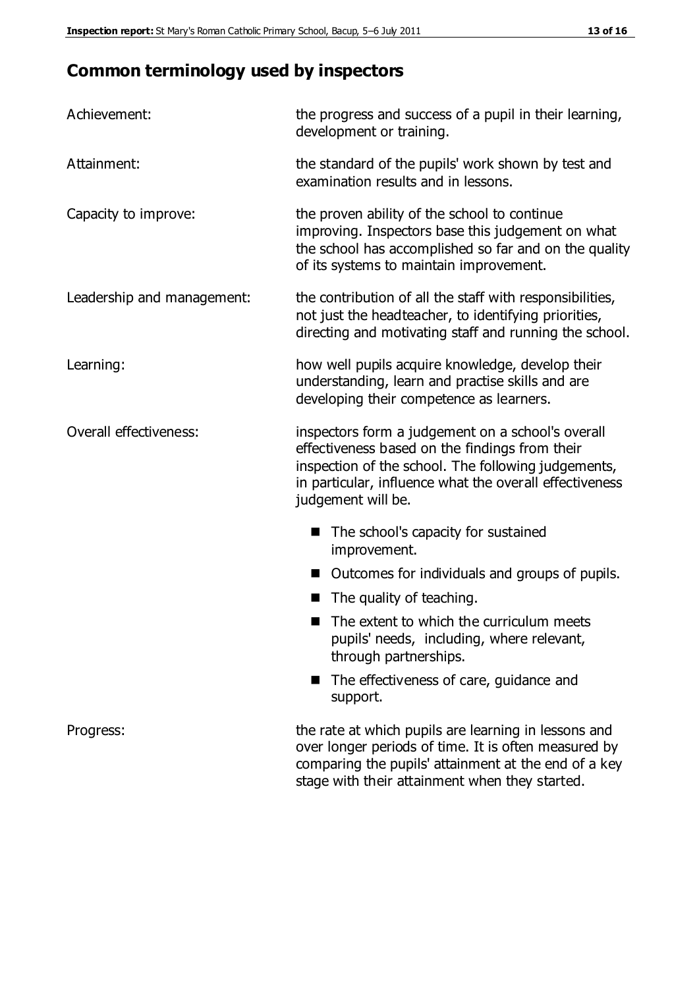# **Common terminology used by inspectors**

| Achievement:               | the progress and success of a pupil in their learning,<br>development or training.                                                                                                                                                          |
|----------------------------|---------------------------------------------------------------------------------------------------------------------------------------------------------------------------------------------------------------------------------------------|
| Attainment:                | the standard of the pupils' work shown by test and<br>examination results and in lessons.                                                                                                                                                   |
| Capacity to improve:       | the proven ability of the school to continue<br>improving. Inspectors base this judgement on what<br>the school has accomplished so far and on the quality<br>of its systems to maintain improvement.                                       |
| Leadership and management: | the contribution of all the staff with responsibilities,<br>not just the headteacher, to identifying priorities,<br>directing and motivating staff and running the school.                                                                  |
| Learning:                  | how well pupils acquire knowledge, develop their<br>understanding, learn and practise skills and are<br>developing their competence as learners.                                                                                            |
| Overall effectiveness:     | inspectors form a judgement on a school's overall<br>effectiveness based on the findings from their<br>inspection of the school. The following judgements,<br>in particular, influence what the overall effectiveness<br>judgement will be. |
|                            | The school's capacity for sustained<br>improvement.                                                                                                                                                                                         |
|                            | Outcomes for individuals and groups of pupils.                                                                                                                                                                                              |
|                            | The quality of teaching.                                                                                                                                                                                                                    |
|                            | The extent to which the curriculum meets<br>pupils' needs, including, where relevant,<br>through partnerships.                                                                                                                              |
|                            | The effectiveness of care, guidance and<br>support.                                                                                                                                                                                         |
| Progress:                  | the rate at which pupils are learning in lessons and<br>over longer periods of time. It is often measured by<br>comparing the pupils' attainment at the end of a key                                                                        |

stage with their attainment when they started.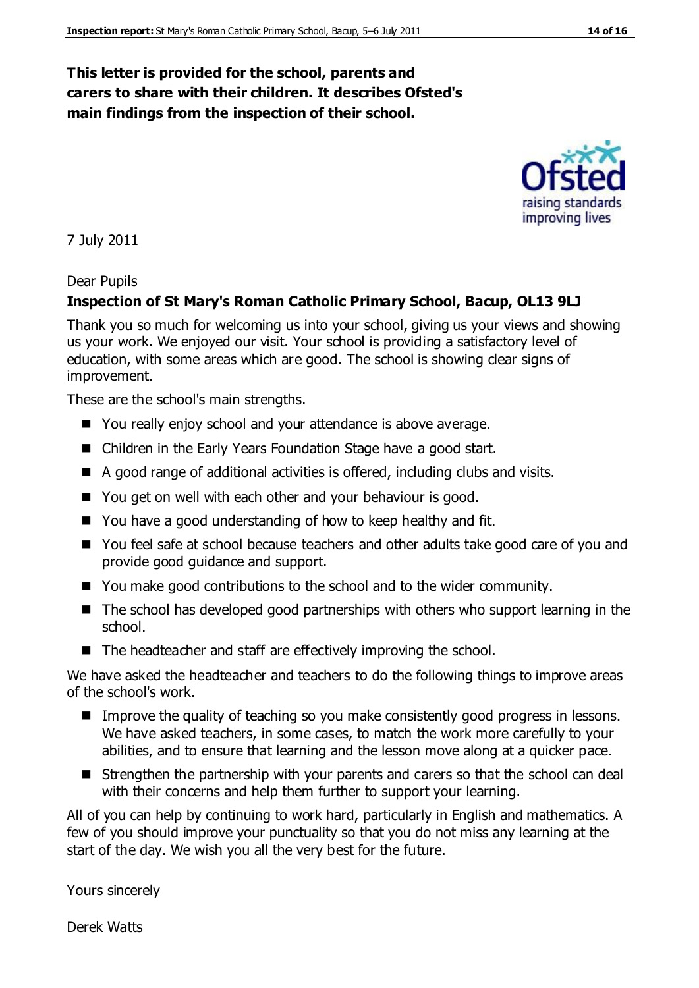#### **This letter is provided for the school, parents and carers to share with their children. It describes Ofsted's main findings from the inspection of their school.**

7 July 2011

#### Dear Pupils

#### **Inspection of St Mary's Roman Catholic Primary School, Bacup, OL13 9LJ**

Thank you so much for welcoming us into your school, giving us your views and showing us your work. We enjoyed our visit. Your school is providing a satisfactory level of education, with some areas which are good. The school is showing clear signs of improvement.

These are the school's main strengths.

- You really enjoy school and your attendance is above average.
- Children in the Early Years Foundation Stage have a good start.
- A good range of additional activities is offered, including clubs and visits.
- You get on well with each other and your behaviour is good.
- You have a good understanding of how to keep healthy and fit.
- You feel safe at school because teachers and other adults take good care of you and provide good guidance and support.
- You make good contributions to the school and to the wider community.
- The school has developed good partnerships with others who support learning in the school.
- The headteacher and staff are effectively improving the school.

We have asked the headteacher and teachers to do the following things to improve areas of the school's work.

- Improve the quality of teaching so you make consistently good progress in lessons. We have asked teachers, in some cases, to match the work more carefully to your abilities, and to ensure that learning and the lesson move along at a quicker pace.
- Strengthen the partnership with your parents and carers so that the school can deal with their concerns and help them further to support your learning.

All of you can help by continuing to work hard, particularly in English and mathematics. A few of you should improve your punctuality so that you do not miss any learning at the start of the day. We wish you all the very best for the future.

Yours sincerely

Derek Watts

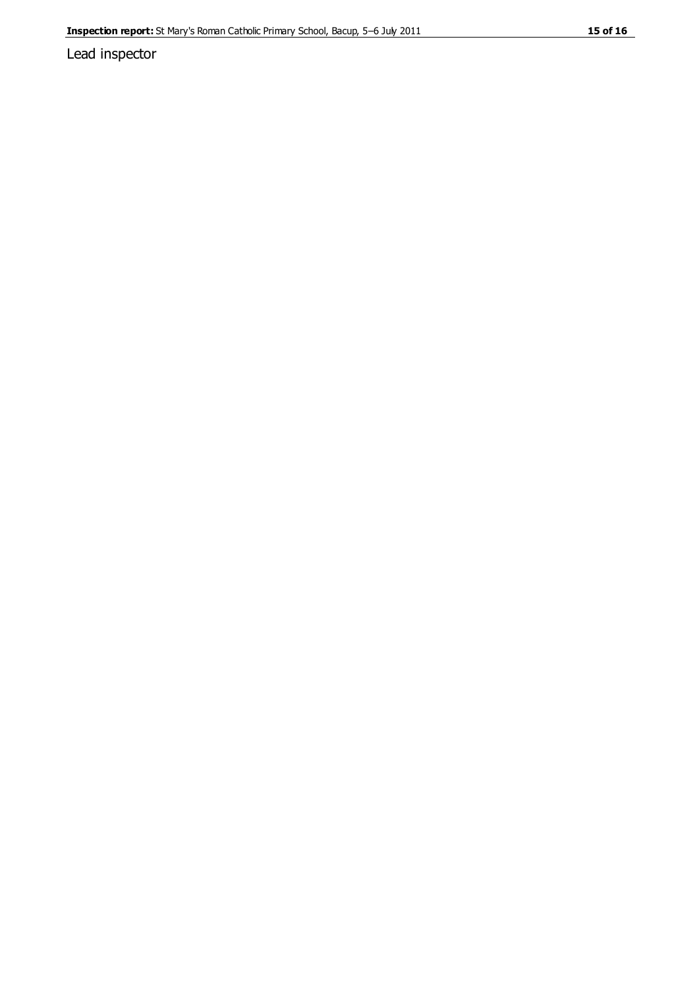Lead inspector